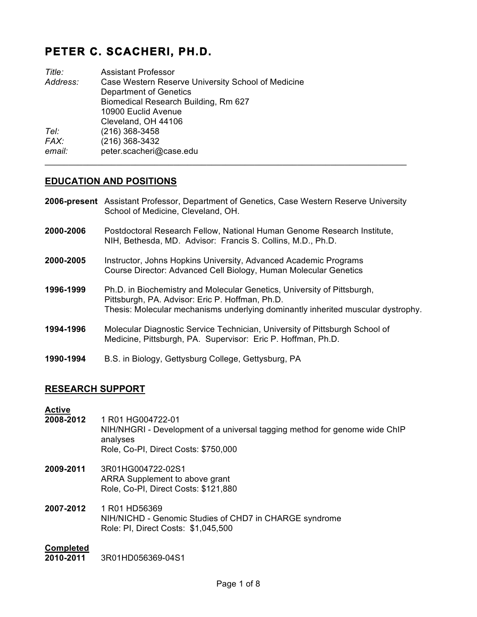# **PETER C. SCACHERI, PH.D.**

| Title:   | <b>Assistant Professor</b>                         |
|----------|----------------------------------------------------|
| Address: | Case Western Reserve University School of Medicine |
|          | Department of Genetics                             |
|          | Biomedical Research Building, Rm 627               |
|          | 10900 Euclid Avenue                                |
|          | Cleveland, OH 44106                                |
| Tel:     | $(216)$ 368-3458                                   |
| FAX:     | (216) 368-3432                                     |
| email:   | peter.scacheri@case.edu                            |
|          |                                                    |

#### **EDUCATION AND POSITIONS**

- **2006-present** Assistant Professor, Department of Genetics, Case Western Reserve University School of Medicine, Cleveland, OH.
- **2000-2006** Postdoctoral Research Fellow, National Human Genome Research Institute, NIH, Bethesda, MD. Advisor: Francis S. Collins, M.D., Ph.D.
- **2000-2005** Instructor, Johns Hopkins University, Advanced Academic Programs Course Director: Advanced Cell Biology, Human Molecular Genetics
- **1996-1999** Ph.D. in Biochemistry and Molecular Genetics, University of Pittsburgh, Pittsburgh, PA. Advisor: Eric P. Hoffman, Ph.D. Thesis: Molecular mechanisms underlying dominantly inherited muscular dystrophy.
- **1994-1996** Molecular Diagnostic Service Technician, University of Pittsburgh School of Medicine, Pittsburgh, PA. Supervisor: Eric P. Hoffman, Ph.D.
- **1990-1994** B.S. in Biology, Gettysburg College, Gettysburg, PA

#### **RESEARCH SUPPORT**

#### **Active**

- **2008-2012** 1 R01 HG004722-01 NIH/NHGRI - Development of a universal tagging method for genome wide ChIP analyses Role, Co-PI, Direct Costs: \$750,000
- **2009-2011** 3R01HG004722-02S1 ARRA Supplement to above grant Role, Co-PI, Direct Costs: \$121,880
- **2007-2012** 1 R01 HD56369 NIH/NICHD - Genomic Studies of CHD7 in CHARGE syndrome Role: PI, Direct Costs: \$1,045,500

#### **Completed**

**2010-2011** 3R01HD056369-04S1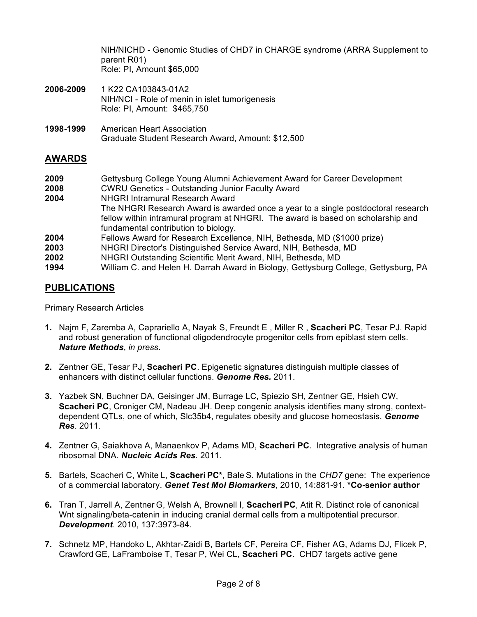NIH/NICHD - Genomic Studies of CHD7 in CHARGE syndrome (ARRA Supplement to parent R01) Role: PI, Amount \$65,000

- **2006-2009** 1 K22 CA103843-01A2 NIH/NCI - Role of menin in islet tumorigenesis Role: PI, Amount: \$465,750
- **1998-1999** American Heart Association Graduate Student Research Award, Amount: \$12,500

# **AWARDS**

| 2009 | Gettysburg College Young Alumni Achievement Award for Career Development            |
|------|-------------------------------------------------------------------------------------|
| 2008 | <b>CWRU Genetics - Outstanding Junior Faculty Award</b>                             |
| 2004 | NHGRI Intramural Research Award                                                     |
|      | The NHGRI Research Award is awarded once a year to a single postdoctoral research   |
|      | fellow within intramural program at NHGRI. The award is based on scholarship and    |
|      | fundamental contribution to biology.                                                |
| 2004 | Fellows Award for Research Excellence, NIH, Bethesda, MD (\$1000 prize)             |
| 2003 | NHGRI Director's Distinguished Service Award, NIH, Bethesda, MD                     |
| 2002 | NHGRI Outstanding Scientific Merit Award, NIH, Bethesda, MD                         |
| 1994 | William C. and Helen H. Darrah Award in Biology, Gettysburg College, Gettysburg, PA |

# **PUBLICATIONS**

#### Primary Research Articles

- **1.** Najm F, Zaremba A, Caprariello A, Nayak S, Freundt E , Miller R , **Scacheri PC**, Tesar PJ. Rapid and robust generation of functional oligodendrocyte progenitor cells from epiblast stem cells. *Nature Methods*, *in press*.
- **2.** Zentner GE, Tesar PJ, **Scacheri PC**. Epigenetic signatures distinguish multiple classes of enhancers with distinct cellular functions. *Genome Res.* 2011.
- **3.** Yazbek SN, Buchner DA, Geisinger JM, Burrage LC, Spiezio SH, Zentner GE, Hsieh CW, **Scacheri PC**, Croniger CM, Nadeau JH. Deep congenic analysis identifies many strong, contextdependent QTLs, one of which, Slc35b4, regulates obesity and glucose homeostasis. *Genome Res*. 2011*.*
- **4.** Zentner G, Saiakhova A, Manaenkov P, Adams MD, **Scacheri PC**. Integrative analysis of human ribosomal DNA. *Nucleic Acids Res.* 2011*.*
- **5.** Bartels, Scacheri C, White L, **Scacheri PC\***, Bale S. Mutations in the *CHD7* gene: The experience of a commercial laboratory. *Genet Test Mol Biomarkers*, 2010*,* 14:881-91*.* **\*Co-senior author**
- **6.** Tran T, Jarrell A, Zentner G, Welsh A, Brownell I, **Scacheri PC**, Atit R. Distinct role of canonical Wnt signaling/beta-catenin in inducing cranial dermal cells from a multipotential precursor. *Development*. 2010, 137:3973-84.
- **7.** Schnetz MP, Handoko L, Akhtar-Zaidi B, Bartels CF, Pereira CF, Fisher AG, Adams DJ, Flicek P, Crawford GE, LaFramboise T, Tesar P, Wei CL, **Scacheri PC**. CHD7 targets active gene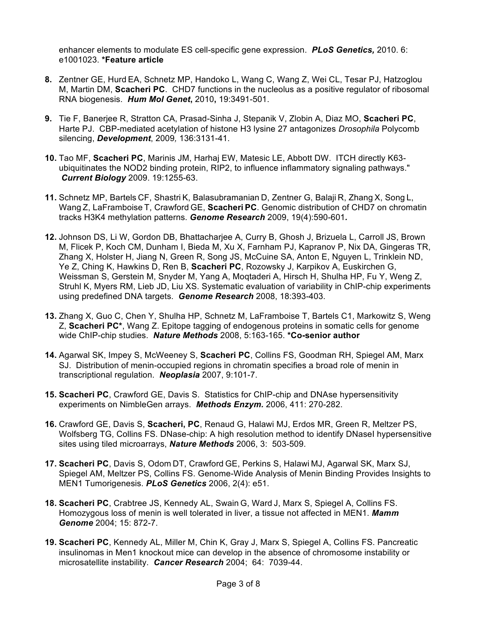enhancer elements to modulate ES cell-specific gene expression. *PLoS Genetics,* 2010. 6: e1001023. **\*Feature article**

- **8.** Zentner GE, Hurd EA, Schnetz MP, Handoko L, Wang C, Wang Z, Wei CL, Tesar PJ, Hatzoglou M, Martin DM, **Scacheri PC**. CHD7 functions in the nucleolus as a positive regulator of ribosomal RNA biogenesis.*Hum Mol Genet***,** 2010**,** 19:3491-501.
- **9.** Tie F, Banerjee R, Stratton CA, Prasad-Sinha J, Stepanik V, Zlobin A, Diaz MO, **Scacheri PC**, Harte PJ. CBP-mediated acetylation of histone H3 lysine 27 antagonizes *Drosophila* Polycomb silencing, *Development*, 2009*,* 136:3131-41.
- **10.** Tao MF, **Scacheri PC**, Marinis JM, Harhaj EW, Matesic LE, Abbott DW. ITCH directly K63 ubiquitinates the NOD2 binding protein, RIP2, to influence inflammatory signaling pathways." *Current Biology* 2009. 19:1255-63.
- **11.** Schnetz MP, Bartels CF, Shastri K, Balasubramanian D, Zentner G, Balaji R, Zhang X, Song L, Wang Z, LaFramboise T, Crawford GE, **Scacheri PC**. Genomic distribution of CHD7 on chromatin tracks H3K4 methylation patterns. *Genome Research* 2009, 19(4):590-601*.*
- **12.** Johnson DS, Li W, Gordon DB, Bhattacharjee A, Curry B, Ghosh J, Brizuela L, Carroll JS, Brown M, Flicek P, Koch CM, Dunham I, Bieda M, Xu X, Farnham PJ, Kapranov P, Nix DA, Gingeras TR, Zhang X, Holster H, Jiang N, Green R, Song JS, McCuine SA, Anton E, Nguyen L, Trinklein ND, Ye Z, Ching K, Hawkins D, Ren B, **Scacheri PC**, Rozowsky J, Karpikov A, Euskirchen G, Weissman S, Gerstein M, Snyder M, Yang A, Moqtaderi A, Hirsch H, Shulha HP, Fu Y, Weng Z, Struhl K, Myers RM, Lieb JD, Liu XS. Systematic evaluation of variability in ChIP-chip experiments using predefined DNA targets. *Genome Research* 2008, 18:393-403.
- **13.** Zhang X, Guo C, Chen Y, Shulha HP, Schnetz M, LaFramboise T, Bartels C1, Markowitz S, Weng Z, **Scacheri PC\***, Wang Z. Epitope tagging of endogenous proteins in somatic cells for genome wide ChIP-chip studies. *Nature Methods* 2008, 5:163-165. **\*Co-senior author**
- **14.** Agarwal SK, Impey S, McWeeney S, **Scacheri PC**, Collins FS, Goodman RH, Spiegel AM, Marx SJ. Distribution of menin-occupied regions in chromatin specifies a broad role of menin in transcriptional regulation. *Neoplasia* 2007, 9:101-7.
- **15. Scacheri PC**, Crawford GE, Davis S. Statistics for ChIP-chip and DNAse hypersensitivity experiments on NimbleGen arrays. *Methods Enzym.* 2006, 411: 270-282.
- **16.** Crawford GE, Davis S, **Scacheri, PC**, Renaud G, Halawi MJ, Erdos MR, Green R, Meltzer PS, Wolfsberg TG, Collins FS. DNase-chip: A high resolution method to identify DNaseI hypersensitive sites using tiled microarrays, *Nature Methods* 2006, 3: 503-509.
- **17. Scacheri PC**, Davis S, Odom DT, Crawford GE, Perkins S, Halawi MJ, Agarwal SK, Marx SJ, Spiegel AM, Meltzer PS, Collins FS. Genome-Wide Analysis of Menin Binding Provides Insights to MEN1 Tumorigenesis. *PLoS Genetics* 2006, 2(4): e51.
- **18. Scacheri PC**, Crabtree JS, Kennedy AL, Swain G, Ward J, Marx S, Spiegel A, Collins FS. Homozygous loss of menin is well tolerated in liver, a tissue not affected in MEN1. *Mamm Genome* 2004; 15: 872-7.
- **19. Scacheri PC**, Kennedy AL, Miller M, Chin K, Gray J, Marx S, Spiegel A, Collins FS. Pancreatic insulinomas in Men1 knockout mice can develop in the absence of chromosome instability or microsatellite instability. *Cancer Research* 2004; 64: 7039-44.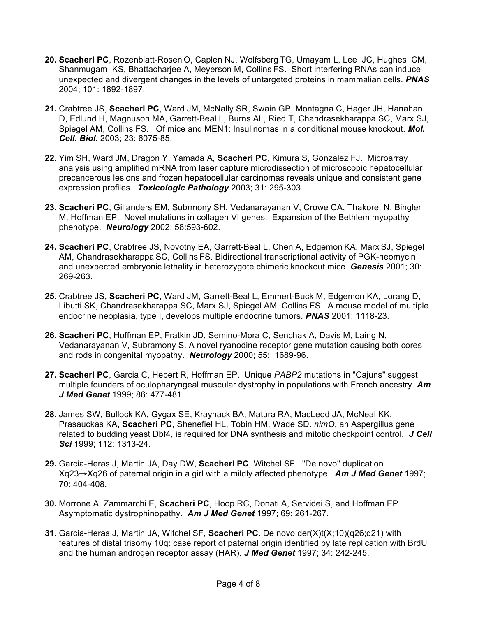- **20. Scacheri PC**, Rozenblatt-Rosen O, Caplen NJ, Wolfsberg TG, Umayam L, Lee JC, Hughes CM, Shanmugam KS, Bhattacharjee A, Meyerson M, Collins FS. Short interfering RNAs can induce unexpected and divergent changes in the levels of untargeted proteins in mammalian cells. *PNAS* 2004; 101: 1892-1897.
- **21.** Crabtree JS, **Scacheri PC**, Ward JM, McNally SR, Swain GP, Montagna C, Hager JH, Hanahan D, Edlund H, Magnuson MA, Garrett-Beal L, Burns AL, Ried T, Chandrasekharappa SC, Marx SJ, Spiegel AM, Collins FS. Of mice and MEN1: Insulinomas in a conditional mouse knockout. *Mol. Cell. Biol.* 2003; 23: 6075-85.
- **22.** Yim SH, Ward JM, Dragon Y, Yamada A, **Scacheri PC**, Kimura S, Gonzalez FJ. Microarray analysis using amplified mRNA from laser capture microdissection of microscopic hepatocellular precancerous lesions and frozen hepatocellular carcinomas reveals unique and consistent gene expression profiles. *Toxicologic Pathology* 2003; 31: 295-303.
- **23. Scacheri PC**, Gillanders EM, Subrmony SH, Vedanarayanan V, Crowe CA, Thakore, N, Bingler M, Hoffman EP. Novel mutations in collagen VI genes: Expansion of the Bethlem myopathy phenotype. *Neurology* 2002; 58:593-602.
- **24. Scacheri PC**, Crabtree JS, Novotny EA, Garrett-Beal L, Chen A, Edgemon KA, Marx SJ, Spiegel AM, Chandrasekharappa SC, Collins FS. Bidirectional transcriptional activity of PGK-neomycin and unexpected embryonic lethality in heterozygote chimeric knockout mice. *Genesis* 2001; 30: 269-263.
- **25.** Crabtree JS, **Scacheri PC**, Ward JM, Garrett-Beal L, Emmert-Buck M, Edgemon KA, Lorang D, Libutti SK, Chandrasekharappa SC, Marx SJ, Spiegel AM, Collins FS. A mouse model of multiple endocrine neoplasia, type I, develops multiple endocrine tumors. *PNAS* 2001; 1118-23.
- **26. Scacheri PC**, Hoffman EP, Fratkin JD, Semino-Mora C, Senchak A, Davis M, Laing N, Vedanarayanan V, Subramony S. A novel ryanodine receptor gene mutation causing both cores and rods in congenital myopathy. *Neurology* 2000; 55: 1689-96.
- **27. Scacheri PC**, Garcia C, Hebert R, Hoffman EP. Unique *PABP2* mutations in "Cajuns" suggest multiple founders of oculopharyngeal muscular dystrophy in populations with French ancestry. *Am J Med Genet* 1999; 86: 477-481.
- **28.** James SW, Bullock KA, Gygax SE, Kraynack BA, Matura RA, MacLeod JA, McNeal KK, Prasauckas KA, **Scacheri PC**, Shenefiel HL, Tobin HM, Wade SD. *nimO*, an Aspergillus gene related to budding yeast Dbf4, is required for DNA synthesis and mitotic checkpoint control. *J Cell Sci* 1999; 112: 1313-24.
- **29.** Garcia-Heras J, Martin JA, Day DW, **Scacheri PC**, Witchel SF. "De novo" duplication Xq23→Xq26 of paternal origin in a girl with a mildly affected phenotype. *Am J Med Genet* 1997; 70: 404-408.
- **30.** Morrone A, Zammarchi E, **Scacheri PC**, Hoop RC, Donati A, Servidei S, and Hoffman EP. Asymptomatic dystrophinopathy. *Am J Med Genet* 1997; 69: 261-267.
- **31.** Garcia-Heras J, Martin JA, Witchel SF, **Scacheri PC**. De novo der(X)t(X;10)(q26;q21) with features of distal trisomy 10q: case report of paternal origin identified by late replication with BrdU and the human androgen receptor assay (HAR). *J Med Genet* 1997; 34: 242-245.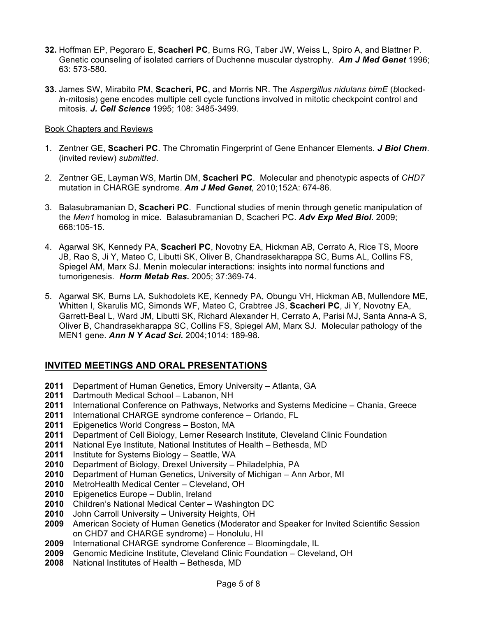- **32.** Hoffman EP, Pegoraro E, **Scacheri PC**, Burns RG, Taber JW, Weiss L, Spiro A, and Blattner P. Genetic counseling of isolated carriers of Duchenne muscular dystrophy. *Am J Med Genet* 1996; 63: 573-580.
- **33.** James SW, Mirabito PM, **Scacheri, PC**, and Morris NR. The *Aspergillus nidulans bimE* (*b*locked*i*n-*m*itosis) gene encodes multiple cell cycle functions involved in mitotic checkpoint control and mitosis. *J. Cell Science* 1995; 108: 3485-3499.

#### Book Chapters and Reviews

- 1. Zentner GE, **Scacheri PC**. The Chromatin Fingerprint of Gene Enhancer Elements. *J Biol Chem*. (invited review) *submitted*.
- 2. Zentner GE, Layman WS, Martin DM, **Scacheri PC**. Molecular and phenotypic aspects of *CHD7* mutation in CHARGE syndrome. *Am J Med Genet,* 2010;152A: 674-86*.*
- 3. Balasubramanian D, **Scacheri PC**. Functional studies of menin through genetic manipulation of the *Men1* homolog in mice. Balasubramanian D, Scacheri PC. *Adv Exp Med Biol*. 2009; 668:105-15.
- 4. Agarwal SK, Kennedy PA, **Scacheri PC**, Novotny EA, Hickman AB, Cerrato A, Rice TS, Moore JB, Rao S, Ji Y, Mateo C, Libutti SK, Oliver B, Chandrasekharappa SC, Burns AL, Collins FS, Spiegel AM, Marx SJ. Menin molecular interactions: insights into normal functions and tumorigenesis. *Horm Metab Res.* 2005; 37:369-74.
- 5. Agarwal SK, Burns LA, Sukhodolets KE, Kennedy PA, Obungu VH, Hickman AB, Mullendore ME, Whitten I, Skarulis MC, Simonds WF, Mateo C, Crabtree JS, **Scacheri PC**, Ji Y, Novotny EA, Garrett-Beal L, Ward JM, Libutti SK, Richard Alexander H, Cerrato A, Parisi MJ, Santa Anna-A S, Oliver B, Chandrasekharappa SC, Collins FS, Spiegel AM, Marx SJ. Molecular pathology of the MEN1 gene. *Ann N Y Acad Sci.* 2004;1014: 189-98.

# **INVITED MEETINGS AND ORAL PRESENTATIONS**

- **2011** Department of Human Genetics, Emory University Atlanta, GA
- **2011** Dartmouth Medical School Labanon, NH
- **2011** International Conference on Pathways, Networks and Systems Medicine Chania, Greece
- **2011** International CHARGE syndrome conference Orlando, FL
- **2011** Epigenetics World Congress Boston, MA
- **2011** Department of Cell Biology, Lerner Research Institute, Cleveland Clinic Foundation
- **2011** National Eye Institute, National Institutes of Health Bethesda, MD
- **2011** Institute for Systems Biology Seattle, WA
- **2010** Department of Biology, Drexel University Philadelphia, PA
- **2010** Department of Human Genetics, University of Michigan Ann Arbor, MI
- **2010** MetroHealth Medical Center Cleveland, OH
- **2010** Epigenetics Europe Dublin, Ireland
- **2010** Children's National Medical Center Washington DC
- **2010** John Carroll University University Heights, OH
- **2009** American Society of Human Genetics (Moderator and Speaker for Invited Scientific Session on CHD7 and CHARGE syndrome) – Honolulu, HI
- **2009** International CHARGE syndrome Conference Bloomingdale, IL
- **2009** Genomic Medicine Institute, Cleveland Clinic Foundation Cleveland, OH
- **2008** National Institutes of Health Bethesda, MD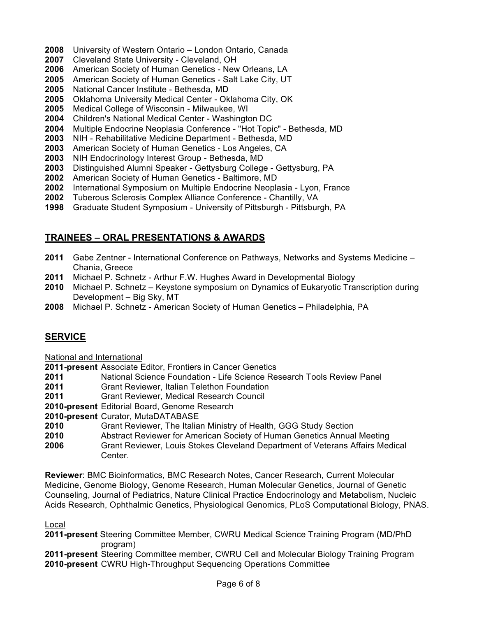- **2008** University of Western Ontario London Ontario, Canada
- **2007** Cleveland State University Cleveland, OH
- **2006** American Society of Human Genetics New Orleans, LA
- **2005** American Society of Human Genetics Salt Lake City, UT
- **2005** National Cancer Institute Bethesda, MD
- **2005** Oklahoma University Medical Center Oklahoma City, OK
- **2005** Medical College of Wisconsin Milwaukee, WI
- **2004** Children's National Medical Center Washington DC
- **2004** Multiple Endocrine Neoplasia Conference "Hot Topic" Bethesda, MD
- **2003** NIH Rehabilitative Medicine Department Bethesda, MD
- **2003** American Society of Human Genetics Los Angeles, CA
- **2003** NIH Endocrinology Interest Group Bethesda, MD
- **2003** Distinguished Alumni Speaker Gettysburg College Gettysburg, PA
- **2002** American Society of Human Genetics Baltimore, MD
- **2002** International Symposium on Multiple Endocrine Neoplasia Lyon, France
- **2002** Tuberous Sclerosis Complex Alliance Conference Chantilly, VA
- **1998** Graduate Student Symposium University of Pittsburgh Pittsburgh, PA

# **TRAINEES – ORAL PRESENTATIONS & AWARDS**

- **2011** Gabe Zentner International Conference on Pathways, Networks and Systems Medicine Chania, Greece
- **2011** Michael P. Schnetz Arthur F.W. Hughes Award in Developmental Biology
- **2010** Michael P. Schnetz Keystone symposium on Dynamics of Eukaryotic Transcription during Development – Big Sky, MT
- **2008** Michael P. Schnetz American Society of Human Genetics Philadelphia, PA

# **SERVICE**

National and International

**2011-present** Associate Editor, Frontiers in Cancer Genetics

- **2011** National Science Foundation Life Science Research Tools Review Panel
- **2011** Grant Reviewer, Italian Telethon Foundation
- **2011** Grant Reviewer, Medical Research Council
- **2010-present** Editorial Board, Genome Research
- **2010-present** Curator, MutaDATABASE
- **2010** Grant Reviewer, The Italian Ministry of Health, GGG Study Section
- **2010** Abstract Reviewer for American Society of Human Genetics Annual Meeting
- **2006** Grant Reviewer, Louis Stokes Cleveland Department of Veterans Affairs Medical Center.

**Reviewer**: BMC Bioinformatics, BMC Research Notes, Cancer Research, Current Molecular Medicine, Genome Biology, Genome Research, Human Molecular Genetics, Journal of Genetic Counseling, Journal of Pediatrics, Nature Clinical Practice Endocrinology and Metabolism, Nucleic Acids Research, Ophthalmic Genetics, Physiological Genomics, PLoS Computational Biology, PNAS.

#### Local

- **2011-present** Steering Committee Member, CWRU Medical Science Training Program (MD/PhD program)
- **2011-present** Steering Committee member, CWRU Cell and Molecular Biology Training Program **2010-present** CWRU High-Throughput Sequencing Operations Committee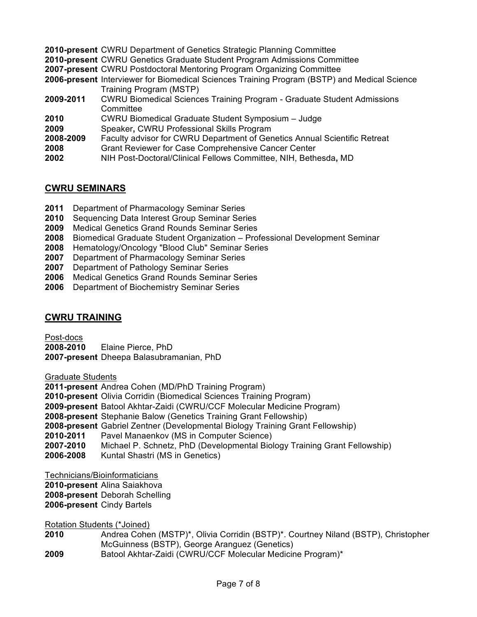- **2010-present** CWRU Department of Genetics Strategic Planning Committee
- **2010-present** CWRU Genetics Graduate Student Program Admissions Committee
- **2007-present** CWRU Postdoctoral Mentoring Program Organizing Committee
- **2006-present** Interviewer for Biomedical Sciences Training Program (BSTP) and Medical Science Training Program (MSTP)
- **2009-2011** CWRU Biomedical Sciences Training Program Graduate Student Admissions **Committee**
- **2010** CWRU Biomedical Graduate Student Symposium Judge
- **2009** Speaker**,** CWRU Professional Skills Program
- **2008-2009** Faculty advisor for CWRU Department of Genetics Annual Scientific Retreat
- **2008** Grant Reviewer for Case Comprehensive Cancer Center
- **2002** NIH Post-Doctoral/Clinical Fellows Committee, NIH, Bethesda**,** MD

# **CWRU SEMINARS**

- **2011** Department of Pharmacology Seminar Series
- **2010** Sequencing Data Interest Group Seminar Series
- **2009** Medical Genetics Grand Rounds Seminar Series
- **2008** Biomedical Graduate Student Organization Professional Development Seminar
- **2008** Hematology/Oncology "Blood Club" Seminar Series
- **2007** Department of Pharmacology Seminar Series
- **2007** Department of Pathology Seminar Series
- **2006** Medical Genetics Grand Rounds Seminar Series
- **2006** Department of Biochemistry Seminar Series

#### **CWRU TRAINING**

Post-docs

**2008-2010** Elaine Pierce, PhD **2007-present** Dheepa Balasubramanian, PhD

Graduate Students

**2011-present** Andrea Cohen (MD/PhD Training Program) **2010-present** Olivia Corridin (Biomedical Sciences Training Program) **2009-present** Batool Akhtar-Zaidi (CWRU/CCF Molecular Medicine Program) **2008-present** Stephanie Balow (Genetics Training Grant Fellowship) **2008-present** Gabriel Zentner (Developmental Biology Training Grant Fellowship) **2010-2011** Pavel Manaenkov (MS in Computer Science) **2007-2010** Michael P. Schnetz, PhD (Developmental Biology Training Grant Fellowship) **2006-2008** Kuntal Shastri (MS in Genetics)

Technicians/Bioinformaticians

**2010-present** Alina Saiakhova

**2008-present** Deborah Schelling

**2006-present** Cindy Bartels

Rotation Students (\*Joined)

- **2010** Andrea Cohen (MSTP)\*, Olivia Corridin (BSTP)\*. Courtney Niland (BSTP), Christopher McGuinness (BSTP), George Aranguez (Genetics)
- **2009** Batool Akhtar-Zaidi (CWRU/CCF Molecular Medicine Program)\*